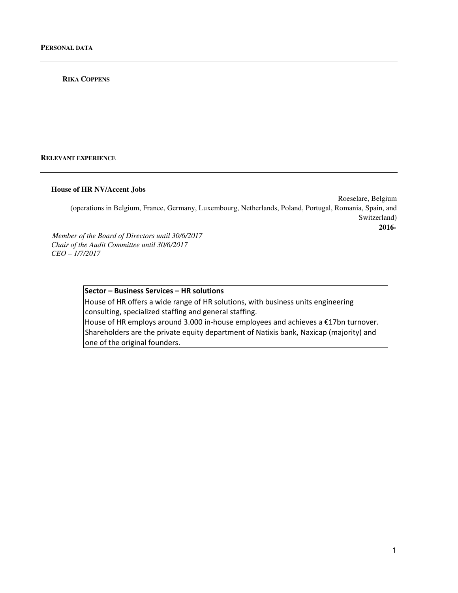#### **RIKA COPPENS**

**RELEVANT EXPERIENCE**

#### **House of HR NV/Accent Jobs**

Roeselare, Belgium (operations in Belgium, France, Germany, Luxembourg, Netherlands, Poland, Portugal, Romania, Spain, and Switzerland)  **2016-** *Member of the Board of Directors until 30/6/2017* 

*Chair of the Audit Committee until 30/6/2017 CEO – 1/7/2017* 

# Sector – Business Services – HR solutions

House of HR offers a wide range of HR solutions, with business units engineering consulting, specialized staffing and general staffing. House of HR employs around 3.000 in-house employees and achieves a €17bn turnover. Shareholders are the private equity department of Natixis bank, Naxicap (majority) and one of the original founders.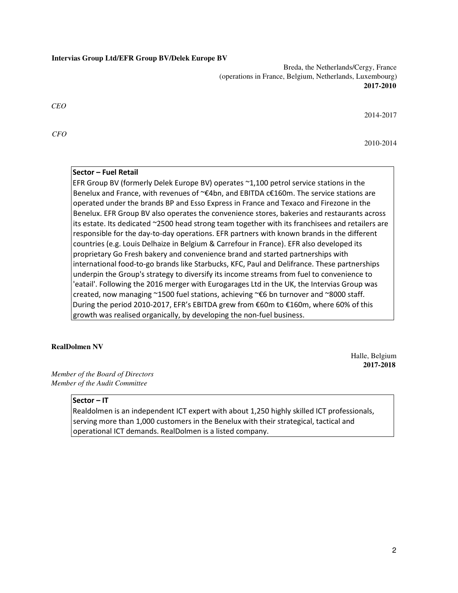#### **Intervias Group Ltd/EFR Group BV/Delek Europe BV**

Breda, the Netherlands/Cergy, France (operations in France, Belgium, Netherlands, Luxembourg) **2017-2010** 

*CEO* 

*CFO* 

2014-2017

2010-2014

# Sector – Fuel Retail

EFR Group BV (formerly Delek Europe BV) operates ~1,100 petrol service stations in the Benelux and France, with revenues of ~€4bn, and EBITDA c€160m. The service stations are operated under the brands BP and Esso Express in France and Texaco and Firezone in the Benelux. EFR Group BV also operates the convenience stores, bakeries and restaurants across its estate. Its dedicated ~2500 head strong team together with its franchisees and retailers are responsible for the day-to-day operations. EFR partners with known brands in the different countries (e.g. Louis Delhaize in Belgium & Carrefour in France). EFR also developed its proprietary Go Fresh bakery and convenience brand and started partnerships with international food-to-go brands like Starbucks, KFC, Paul and Delifrance. These partnerships underpin the Group's strategy to diversify its income streams from fuel to convenience to 'eatail'. Following the 2016 merger with Eurogarages Ltd in the UK, the Intervias Group was created, now managing ~1500 fuel stations, achieving ~ $\epsilon$ 6 bn turnover and ~8000 staff. During the period 2010-2017, EFR's EBITDA grew from €60m to €160m, where 60% of this growth was realised organically, by developing the non-fuel business.

#### **RealDolmen NV**

Halle, Belgium **2017-2018** 

*Member of the Board of Directors Member of the Audit Committee* 

### Sector – IT

Realdolmen is an independent ICT expert with about 1,250 highly skilled ICT professionals, serving more than 1,000 customers in the Benelux with their strategical, tactical and operational ICT demands. RealDolmen is a listed company.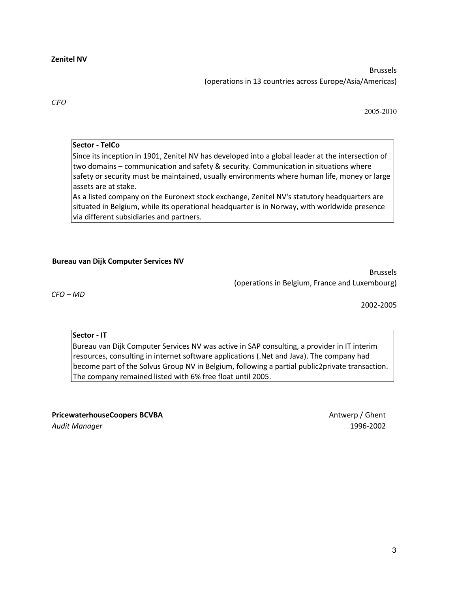Brussels (operations in 13 countries across Europe/Asia/Americas)

*CFO* 

2005-2010

Sector - TelCo

Since its inception in 1901, Zenitel NV has developed into a global leader at the intersection of two domains – communication and safety & security. Communication in situations where safety or security must be maintained, usually environments where human life, money or large assets are at stake.

As a listed company on the Euronext stock exchange, Zenitel NV's statutory headquarters are situated in Belgium, while its operational headquarter is in Norway, with worldwide presence via different subsidiaries and partners.

# Bureau van Dijk Computer Services NV

Brussels (operations in Belgium, France and Luxembourg)

CFO – MD

2002-2005

# Sector - IT

Bureau van Dijk Computer Services NV was active in SAP consulting, a provider in IT interim resources, consulting in internet software applications (.Net and Java). The company had become part of the Solvus Group NV in Belgium, following a partial public2private transaction. The company remained listed with 6% free float until 2005.

PricewaterhouseCoopers BCVBA Antwerp / Ghent Audit Manager 1996-2002